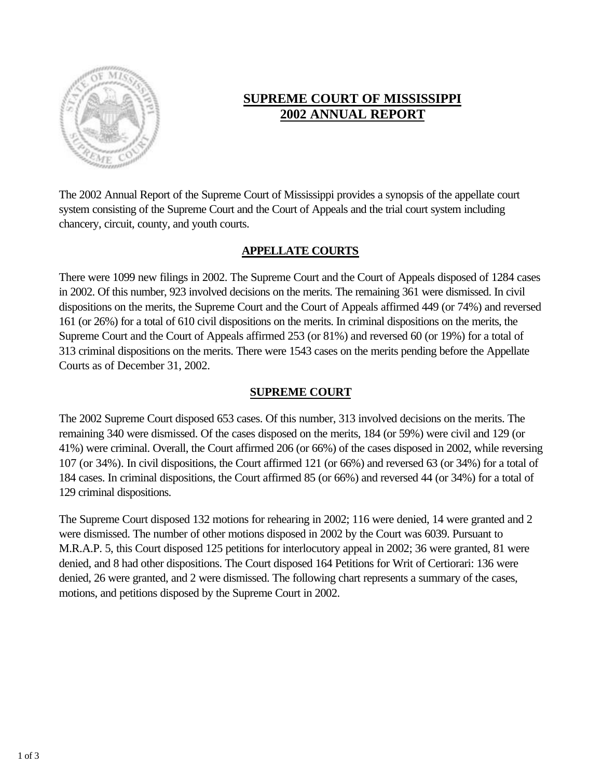

# **SUPREME COURT OF MISSISSIPPI 2002 ANNUAL REPORT**

The 2002 Annual Report of the Supreme Court of Mississippi provides a synopsis of the appellate court system consisting of the Supreme Court and the Court of Appeals and the trial court system including chancery, circuit, county, and youth courts.

## **APPELLATE COURTS**

There were 1099 new filings in 2002. The Supreme Court and the Court of Appeals disposed of 1284 cases in 2002. Of this number, 923 involved decisions on the merits. The remaining 361 were dismissed. In civil dispositions on the merits, the Supreme Court and the Court of Appeals affirmed 449 (or 74%) and reversed 161 (or 26%) for a total of 610 civil dispositions on the merits. In criminal dispositions on the merits, the Supreme Court and the Court of Appeals affirmed 253 (or 81%) and reversed 60 (or 19%) for a total of 313 criminal dispositions on the merits. There were 1543 cases on the merits pending before the Appellate Courts as of December 31, 2002.

## **SUPREME COURT**

The 2002 Supreme Court disposed 653 cases. Of this number, 313 involved decisions on the merits. The remaining 340 were dismissed. Of the cases disposed on the merits, 184 (or 59%) were civil and 129 (or 41%) were criminal. Overall, the Court affirmed 206 (or 66%) of the cases disposed in 2002, while reversing 107 (or 34%). In civil dispositions, the Court affirmed 121 (or 66%) and reversed 63 (or 34%) for a total of 184 cases. In criminal dispositions, the Court affirmed 85 (or 66%) and reversed 44 (or 34%) for a total of 129 criminal dispositions.

The Supreme Court disposed 132 motions for rehearing in 2002; 116 were denied, 14 were granted and 2 were dismissed. The number of other motions disposed in 2002 by the Court was 6039. Pursuant to M.R.A.P. 5, this Court disposed 125 petitions for interlocutory appeal in 2002; 36 were granted, 81 were denied, and 8 had other dispositions. The Court disposed 164 Petitions for Writ of Certiorari: 136 were denied, 26 were granted, and 2 were dismissed. The following chart represents a summary of the cases, motions, and petitions disposed by the Supreme Court in 2002.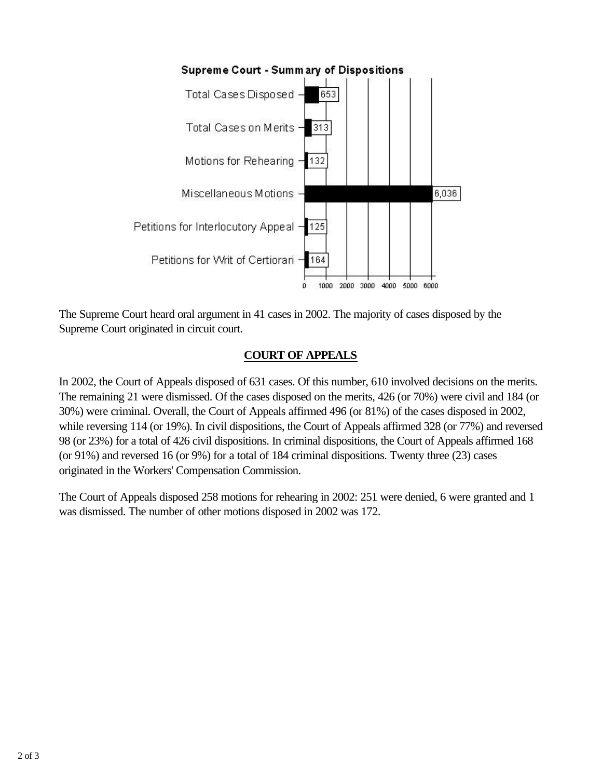

The Supreme Court heard oral argument in 41 cases in 2002. The majority of cases disposed by the Supreme Court originated in circuit court.

## **COURT OF APPEALS**

In 2002, the Court of Appeals disposed of 631 cases. Of this number, 610 involved decisions on the merits. The remaining 21 were dismissed. Of the cases disposed on the merits, 426 (or 70%) were civil and 184 (or 30%) were criminal. Overall, the Court of Appeals affirmed 496 (or 81%) of the cases disposed in 2002, while reversing 114 (or 19%). In civil dispositions, the Court of Appeals affirmed 328 (or 77%) and reversed 98 (or 23%) for a total of 426 civil dispositions. In criminal dispositions, the Court of Appeals affirmed 168 (or 91%) and reversed 16 (or 9%) for a total of 184 criminal dispositions. Twenty three (23) cases originated in the Workers' Compensation Commission.

The Court of Appeals disposed 258 motions for rehearing in 2002: 251 were denied, 6 were granted and 1 was dismissed. The number of other motions disposed in 2002 was 172.